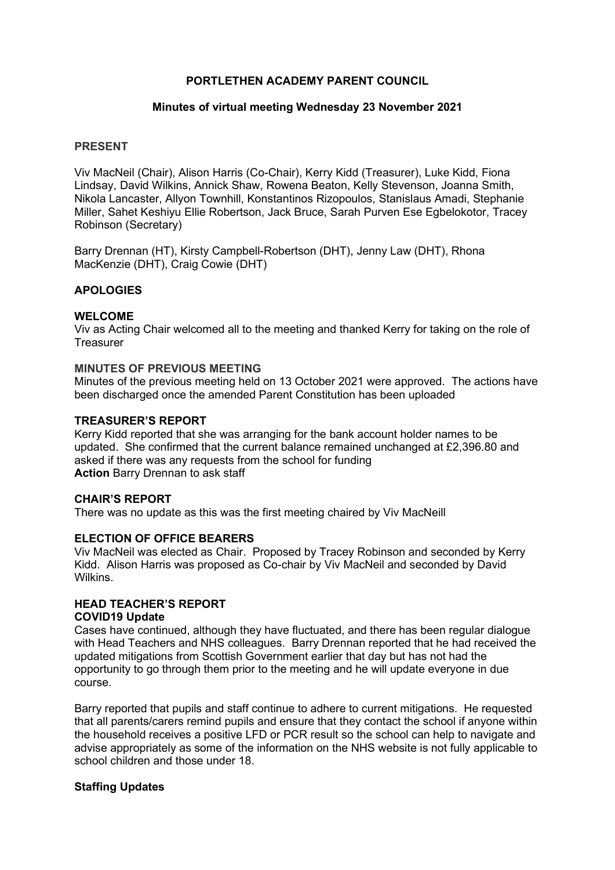## PORTLETHEN ACADEMY PARENT COUNCIL

### Minutes of virtual meeting Wednesday 23 November 2021

## PRESENT

Viv MacNeil (Chair), Alison Harris (Co-Chair), Kerry Kidd (Treasurer), Luke Kidd, Fiona Lindsay, David Wilkins, Annick Shaw, Rowena Beaton, Kelly Stevenson, Joanna Smith, Nikola Lancaster, Allyon Townhill, Konstantinos Rizopoulos, Stanislaus Amadi, Stephanie Miller, Sahet Keshiyu Ellie Robertson, Jack Bruce, Sarah Purven Ese Egbelokotor, Tracey Robinson (Secretary)

Barry Drennan (HT), Kirsty Campbell-Robertson (DHT), Jenny Law (DHT), Rhona MacKenzie (DHT), Craig Cowie (DHT)

### APOLOGIES

### WELCOME

Viv as Acting Chair welcomed all to the meeting and thanked Kerry for taking on the role of **Treasurer** 

#### MINUTES OF PREVIOUS MEETING

Minutes of the previous meeting held on 13 October 2021 were approved. The actions have been discharged once the amended Parent Constitution has been uploaded

#### TREASURER'S REPORT

Kerry Kidd reported that she was arranging for the bank account holder names to be updated. She confirmed that the current balance remained unchanged at £2,396.80 and asked if there was any requests from the school for funding Action Barry Drennan to ask staff

#### CHAIR'S REPORT

There was no update as this was the first meeting chaired by Viv MacNeill

### ELECTION OF OFFICE BEARERS

Viv MacNeil was elected as Chair. Proposed by Tracey Robinson and seconded by Kerry Kidd. Alison Harris was proposed as Co-chair by Viv MacNeil and seconded by David **Wilkins** 

# HEAD TEACHER'S REPORT

#### COVID19 Update

Cases have continued, although they have fluctuated, and there has been regular dialogue with Head Teachers and NHS colleagues. Barry Drennan reported that he had received the updated mitigations from Scottish Government earlier that day but has not had the opportunity to go through them prior to the meeting and he will update everyone in due course.

Barry reported that pupils and staff continue to adhere to current mitigations. He requested that all parents/carers remind pupils and ensure that they contact the school if anyone within the household receives a positive LFD or PCR result so the school can help to navigate and advise appropriately as some of the information on the NHS website is not fully applicable to school children and those under 18.

#### Staffing Updates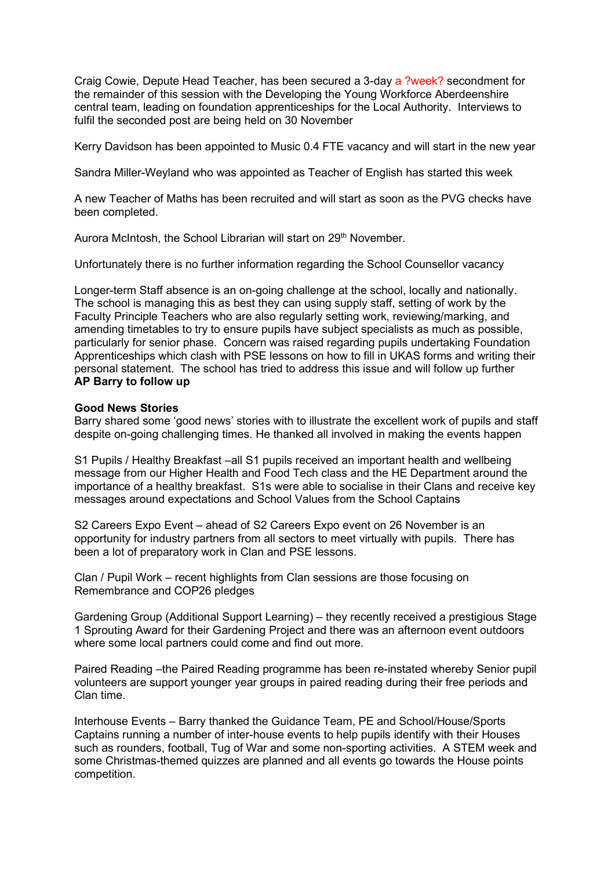Craig Cowie, Depute Head Teacher, has been secured a 3-day a ?week? secondment for the remainder of this session with the Developing the Young Workforce Aberdeenshire central team, leading on foundation apprenticeships for the Local Authority. Interviews to fulfil the seconded post are being held on 30 November

Kerry Davidson has been appointed to Music 0.4 FTE vacancy and will start in the new year

Sandra Miller-Weyland who was appointed as Teacher of English has started this week

A new Teacher of Maths has been recruited and will start as soon as the PVG checks have been completed.

Aurora McIntosh, the School Librarian will start on 29<sup>th</sup> November.

Unfortunately there is no further information regarding the School Counsellor vacancy

Longer-term Staff absence is an on-going challenge at the school, locally and nationally. The school is managing this as best they can using supply staff, setting of work by the Faculty Principle Teachers who are also regularly setting work, reviewing/marking, and amending timetables to try to ensure pupils have subject specialists as much as possible, particularly for senior phase. Concern was raised regarding pupils undertaking Foundation Apprenticeships which clash with PSE lessons on how to fill in UKAS forms and writing their personal statement. The school has tried to address this issue and will follow up further AP Barry to follow up

### Good News Stories

Barry shared some 'good news' stories with to illustrate the excellent work of pupils and staff despite on-going challenging times. He thanked all involved in making the events happen

S1 Pupils / Healthy Breakfast –all S1 pupils received an important health and wellbeing message from our Higher Health and Food Tech class and the HE Department around the importance of a healthy breakfast. S1s were able to socialise in their Clans and receive key messages around expectations and School Values from the School Captains

S2 Careers Expo Event – ahead of S2 Careers Expo event on 26 November is an opportunity for industry partners from all sectors to meet virtually with pupils. There has been a lot of preparatory work in Clan and PSE lessons.

Clan / Pupil Work – recent highlights from Clan sessions are those focusing on Remembrance and COP26 pledges

Gardening Group (Additional Support Learning) – they recently received a prestigious Stage 1 Sprouting Award for their Gardening Project and there was an afternoon event outdoors where some local partners could come and find out more.

Paired Reading –the Paired Reading programme has been re-instated whereby Senior pupil volunteers are support younger year groups in paired reading during their free periods and Clan time.

Interhouse Events – Barry thanked the Guidance Team, PE and School/House/Sports Captains running a number of inter-house events to help pupils identify with their Houses such as rounders, football, Tug of War and some non-sporting activities. A STEM week and some Christmas-themed quizzes are planned and all events go towards the House points competition.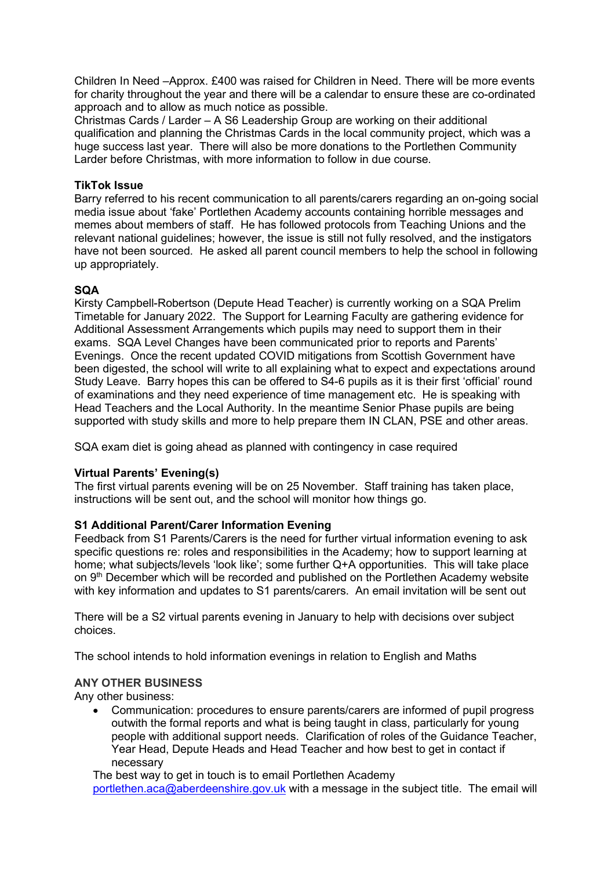Children In Need –Approx. £400 was raised for Children in Need. There will be more events for charity throughout the year and there will be a calendar to ensure these are co-ordinated approach and to allow as much notice as possible.

Christmas Cards / Larder – A S6 Leadership Group are working on their additional qualification and planning the Christmas Cards in the local community project, which was a huge success last year. There will also be more donations to the Portlethen Community Larder before Christmas, with more information to follow in due course.

### TikTok Issue

Barry referred to his recent communication to all parents/carers regarding an on-going social media issue about 'fake' Portlethen Academy accounts containing horrible messages and memes about members of staff. He has followed protocols from Teaching Unions and the relevant national guidelines; however, the issue is still not fully resolved, and the instigators have not been sourced. He asked all parent council members to help the school in following up appropriately.

### **SOA**

Kirsty Campbell-Robertson (Depute Head Teacher) is currently working on a SQA Prelim Timetable for January 2022. The Support for Learning Faculty are gathering evidence for Additional Assessment Arrangements which pupils may need to support them in their exams. SQA Level Changes have been communicated prior to reports and Parents' Evenings. Once the recent updated COVID mitigations from Scottish Government have been digested, the school will write to all explaining what to expect and expectations around Study Leave. Barry hopes this can be offered to S4-6 pupils as it is their first 'official' round of examinations and they need experience of time management etc. He is speaking with Head Teachers and the Local Authority. In the meantime Senior Phase pupils are being supported with study skills and more to help prepare them IN CLAN, PSE and other areas.

SQA exam diet is going ahead as planned with contingency in case required

#### Virtual Parents' Evening(s)

The first virtual parents evening will be on 25 November. Staff training has taken place, instructions will be sent out, and the school will monitor how things go.

# S1 Additional Parent/Carer Information Evening

Feedback from S1 Parents/Carers is the need for further virtual information evening to ask specific questions re: roles and responsibilities in the Academy; how to support learning at home; what subjects/levels 'look like'; some further Q+A opportunities. This will take place on 9th December which will be recorded and published on the Portlethen Academy website with key information and updates to S1 parents/carers. An email invitation will be sent out

There will be a S2 virtual parents evening in January to help with decisions over subject choices.

The school intends to hold information evenings in relation to English and Maths

# ANY OTHER BUSINESS

Any other business:

 Communication: procedures to ensure parents/carers are informed of pupil progress outwith the formal reports and what is being taught in class, particularly for young people with additional support needs. Clarification of roles of the Guidance Teacher, Year Head, Depute Heads and Head Teacher and how best to get in contact if necessary

The best way to get in touch is to email Portlethen Academy portlethen.aca@aberdeenshire.gov.uk with a message in the subject title. The email will